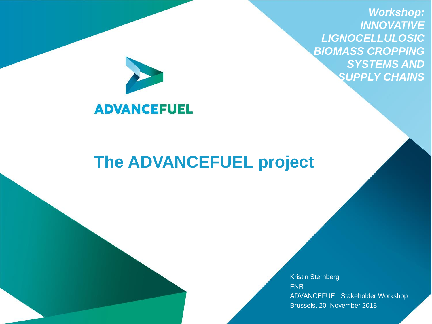*Workshop: INNOVATIVE LIGNOCELLULOSIC BIOMASS CROPPING SYSTEMS AND SUPPLY CHAINS* 



# **The ADVANCEFUEL project**

Kristin Sternberg FNR ADVANCEFUEL Stakeholder Workshop Brussels, 20 November 2018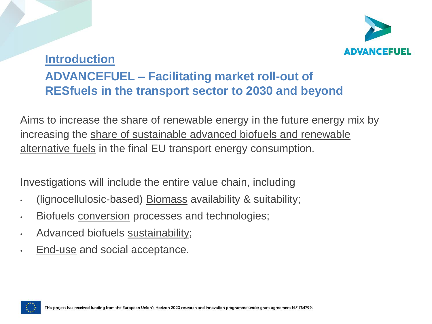

## **Introduction ADVANCEFUEL – Facilitating market roll-out of RESfuels in the transport sector to 2030 and beyond**

Aims to increase the share of renewable energy in the future energy mix by increasing the share of sustainable advanced biofuels and renewable alternative fuels in the final EU transport energy consumption.

Investigations will include the entire value chain, including

- (lignocellulosic-based) Biomass availability & suitability;
- Biofuels conversion processes and technologies;
- Advanced biofuels sustainability;
- End-use and social acceptance.

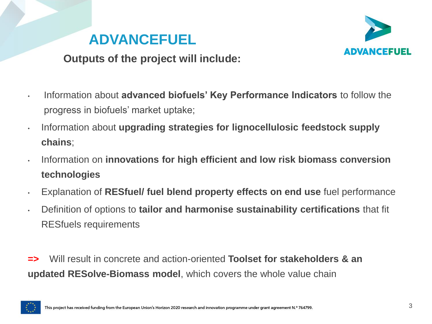



#### **Outputs of the project will include:**

- Information about **advanced biofuels' Key Performance Indicators** to follow the progress in biofuels' market uptake;
- Information about **upgrading strategies for lignocellulosic feedstock supply chains**;
- Information on **innovations for high efficient and low risk biomass conversion technologies**
- Explanation of **RESfuel/ fuel blend property effects on end use** fuel performance
- Definition of options to **tailor and harmonise sustainability certifications** that fit RESfuels requirements
- **=>** Will result in concrete and action-oriented **Toolset for stakeholders & an updated RESolve-Biomass model**, which covers the whole value chain

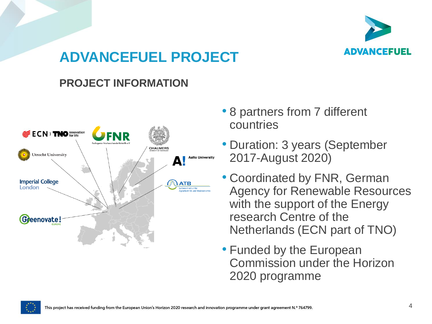

#### **PROJECT INFORMATION**



- 8 partners from 7 different countries
- Duration: 3 years (September 2017-August 2020)
- Coordinated by FNR, German Agency for Renewable Resources with the support of the Energy research Centre of the Netherlands (ECN part of TNO)
- Funded by the European Commission under the Horizon 2020 programme

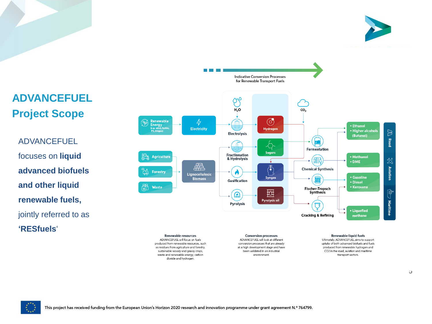



### **ADVANCEFUEL Project Scope**

ADVANCEFUEL focuses on **liquid advanced biofuels and other liquid renewable fuels,**  jointly referred to as **'RESfuels**'

as residues from agriculture and forestry, sustainable woody and grassy crops, waste and renewable energy, carbon dioxide and hydrogen.

at a high development stage and have been validated in an industrial environment.

CO2 in the road, aviation and maritime

transport sectors.

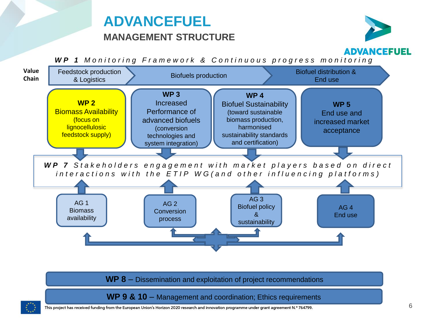## **ADVANCEFUEL**

#### **MANAGEMENT STRUCTURE**



*WP 1 Monitoring Framework & Continuous progress monitoring* 



**WP 8** – Dissemination and exploitation of project recommendations

WP 9 & 10 – Management and coordination; Ethics requirements



This project has received funding from the European Union's Horizon 2020 research and innovation programme under grant agreement N.º 764799.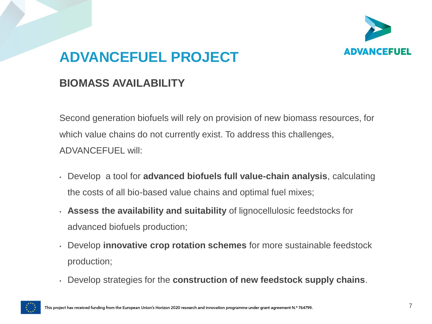

#### **BIOMASS AVAILABILITY**

Second generation biofuels will rely on provision of new biomass resources, for which value chains do not currently exist. To address this challenges, ADVANCEFUEL will:

- Develop a tool for **advanced biofuels full value-chain analysis**, calculating the costs of all bio-based value chains and optimal fuel mixes;
- **Assess the availability and suitability** of lignocellulosic feedstocks for advanced biofuels production;
- Develop **innovative crop rotation schemes** for more sustainable feedstock production;
- Develop strategies for the **construction of new feedstock supply chains**.

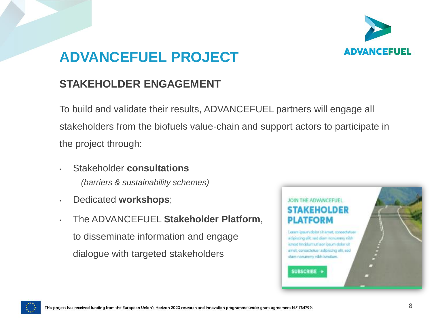

#### **STAKEHOLDER ENGAGEMENT**

To build and validate their results, ADVANCEFUEL partners will engage all stakeholders from the biofuels value-chain and support actors to participate in the project through:

- Stakeholder **consultations**  *(barriers & sustainability schemes)*
- Dedicated **workshops**;
- The ADVANCEFUEL **Stakeholder Platform**, to disseminate information and engage dialogue with targeted stakeholders



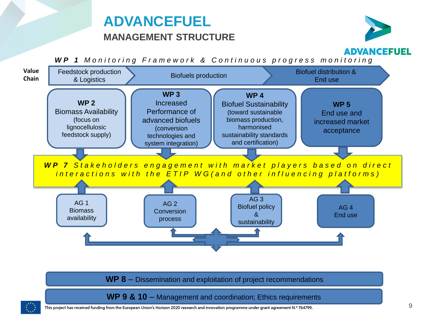## **ADVANCEFUEL**

#### **MANAGEMENT STRUCTURE**



*WP 1 Monitoring Framework & Continuous progress monitoring* 



**WP 8** – Dissemination and exploitation of project recommendations

WP 9 & 10 – Management and coordination; Ethics requirements



This project has received funding from the European Union's Horizon 2020 research and innovation programme under grant agreement N.º 764799.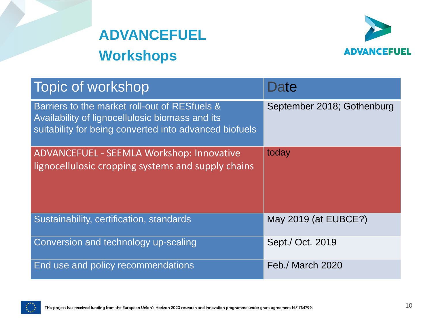



| Topic of workshop                                                                                                                                          | Date                       |
|------------------------------------------------------------------------------------------------------------------------------------------------------------|----------------------------|
| Barriers to the market roll-out of RESfuels &<br>Availability of lignocellulosic biomass and its<br>suitability for being converted into advanced biofuels | September 2018; Gothenburg |
| ADVANCEFUEL - SEEMLA Workshop: Innovative<br>lignocellulosic cropping systems and supply chains                                                            | today                      |
| Sustainability, certification, standards                                                                                                                   | May 2019 (at EUBCE?)       |
| Conversion and technology up-scaling                                                                                                                       | Sept./ Oct. 2019           |
| End use and policy recommendations                                                                                                                         | Feb./ March 2020           |

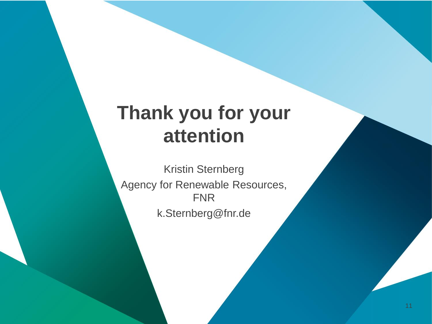# **Thank you for your attention**

Kristin Sternberg Agency for Renewable Resources, FNR k.Sternberg@fnr.de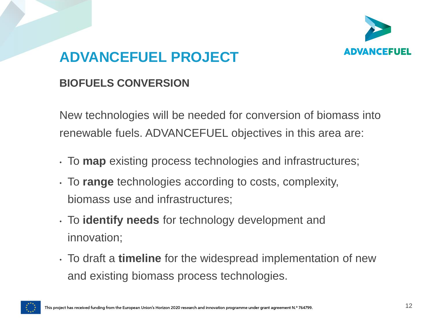

#### **BIOFUELS CONVERSION**

New technologies will be needed for conversion of biomass into renewable fuels. ADVANCEFUEL objectives in this area are:

- To **map** existing process technologies and infrastructures;
- To **range** technologies according to costs, complexity, biomass use and infrastructures;
- To **identify needs** for technology development and innovation;
- To draft a **timeline** for the widespread implementation of new and existing biomass process technologies.

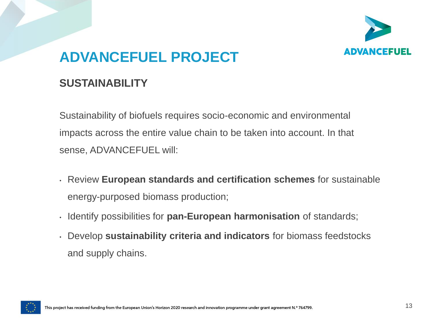

#### **SUSTAINABILITY**

Sustainability of biofuels requires socio-economic and environmental impacts across the entire value chain to be taken into account. In that sense, ADVANCEFUEL will:

- Review **European standards and certification schemes** for sustainable energy-purposed biomass production;
- Identify possibilities for **pan-European harmonisation** of standards;
- Develop **sustainability criteria and indicators** for biomass feedstocks and supply chains.